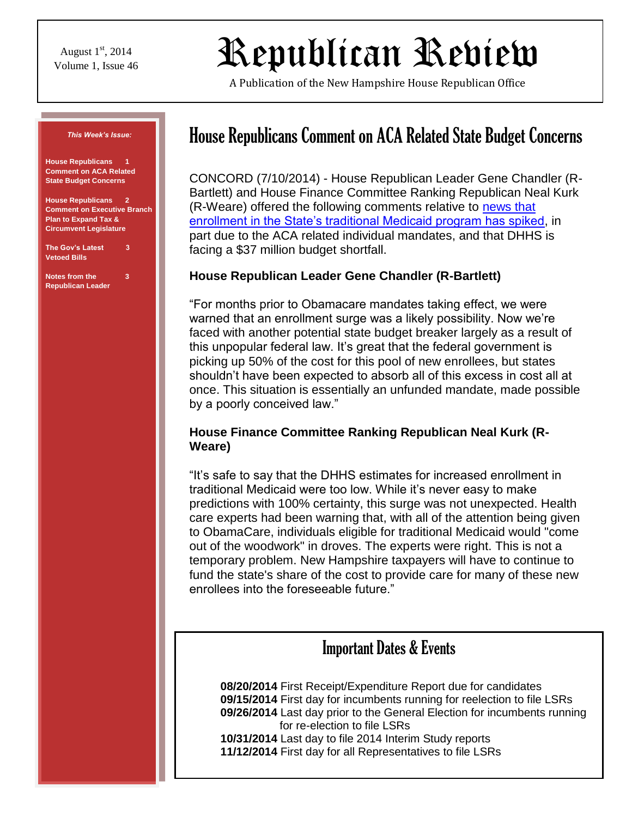August  $1<sup>st</sup>$ , 2014

# $\mathcal{R}$ epublican Review

A Publication of the New Hampshire House Republican Office



# House Republicans Comment on ACA Related State Budget Concerns

CONCORD (7/10/2014) - House Republican Leader Gene Chandler (R-Bartlett) and House Finance Committee Ranking Republican Neal Kurk (R-Weare) offered the following comments relative to [news that](http://nhpr.org/post/medicaid-enrollment-jumps-11000-stretching-state-budget)  [enrollment in the State's traditional Medicaid program has spiked,](http://nhpr.org/post/medicaid-enrollment-jumps-11000-stretching-state-budget) in part due to the ACA related individual mandates, and that DHHS is facing a \$37 million budget shortfall.

#### **House Republican Leader Gene Chandler (R-Bartlett)**

"For months prior to Obamacare mandates taking effect, we were warned that an enrollment surge was a likely possibility. Now we're faced with another potential state budget breaker largely as a result of this unpopular federal law. It's great that the federal government is picking up 50% of the cost for this pool of new enrollees, but states shouldn't have been expected to absorb all of this excess in cost all at once. This situation is essentially an unfunded mandate, made possible by a poorly conceived law."

#### **House Finance Committee Ranking Republican Neal Kurk (R-Weare)**

"It's safe to say that the DHHS estimates for increased enrollment in traditional Medicaid were too low. While it's never easy to make predictions with 100% certainty, this surge was not unexpected. Health care experts had been warning that, with all of the attention being given to ObamaCare, individuals eligible for traditional Medicaid would "come out of the woodwork" in droves. The experts were right. This is not a temporary problem. New Hampshire taxpayers will have to continue to fund the state's share of the cost to provide care for many of these new enrollees into the foreseeable future."

#### **Expenditual Contraryers Expenditual Dates & Events**  $\rho$  is a matrix by the legislature.  $\rho$  where  $\rho$

expanded Medicaid program don't follow suit. That would be very

**08/20/2014** First Receipt/Expenditure Report due for candidates **09/15/2014** First day for incumbents running for reelection to file LSRs **09/26/2014** Last day prior to the General Election for incumbents running for re-election to file LSRs **10/31/2014** Last day to file 2014 Interim Study reports **11/12/2014** First day for all Representatives to file LSRs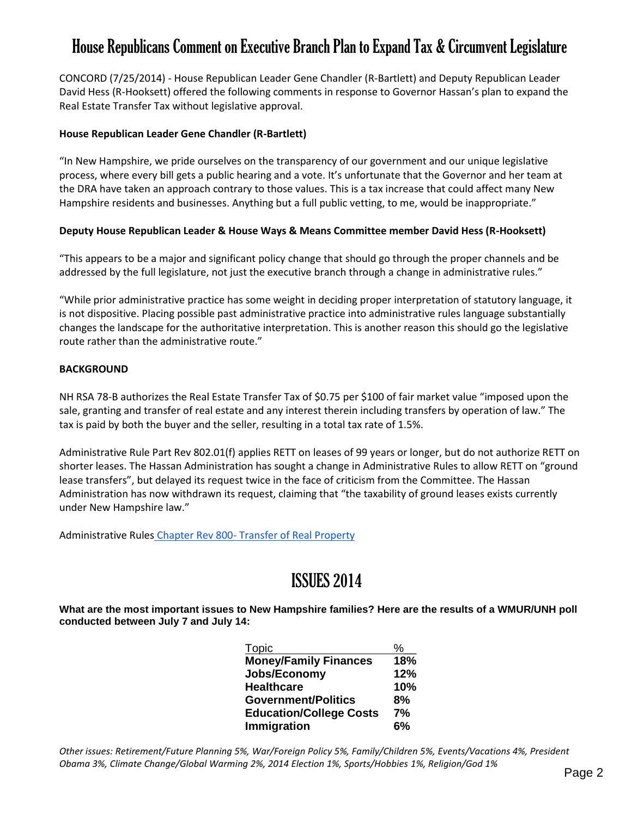## House Republicans Comment on Executive Branch Plan to Expand Tax & Circumvent Legislature

CONCORD (7/25/2014) - House Republican Leader Gene Chandler (R-Bartlett) and Deputy Republican Leader David Hess (R-Hooksett) offered the following comments in response to Governor Hassan's plan to expand the Real Estate Transfer Tax without legislative approval.

#### **House Republican Leader Gene Chandler (R-Bartlett)**

"In New Hampshire, we pride ourselves on the transparency of our government and our unique legislative process, where every bill gets a public hearing and a vote. It's unfortunate that the Governor and her team at the DRA have taken an approach contrary to those values. This is a tax increase that could affect many New Hampshire residents and businesses. Anything but a full public vetting, to me, would be inappropriate."

#### **Deputy House Republican Leader & House Ways & Means Committee member David Hess (R-Hooksett)**

"This appears to be a major and significant policy change that should go through the proper channels and be addressed by the full legislature, not just the executive branch through a change in administrative rules."

"While prior administrative practice has some weight in deciding proper interpretation of statutory language, it is not dispositive. Placing possible past administrative practice into administrative rules language substantially changes the landscape for the authoritative interpretation. This is another reason this should go the legislative route rather than the administrative route."

#### **BACKGROUND**

NH RSA 78-B authorizes the Real Estate Transfer Tax of \$0.75 per \$100 of fair market value "imposed upon the sale, granting and transfer of real estate and any interest therein including transfers by operation of law." The tax is paid by both the buyer and the seller, resulting in a total tax rate of 1.5%.

Administrative Rule Part Rev 802.01(f) applies RETT on leases of 99 years or longer, but do not authorize RETT on shorter leases. The Hassan Administration has sought a change in Administrative Rules to allow RETT on "ground lease transfers", but delayed its request twice in the face of criticism from the Committee. The Hassan Administration has now withdrawn its request, claiming that "the taxability of ground leases exists currently under New Hampshire law."

Administrative Rules Chapter Rev 800- [Transfer of Real Property](http://www.gencourt.state.nh.us/rules/state_agencies/rev800.html)

## ISSUES 2014

**What are the most important issues to New Hampshire families? Here are the results of a WMUR/UNH poll conducted between July 7 and July 14:**

| Topic                          | %   |
|--------------------------------|-----|
| <b>Money/Family Finances</b>   | 18% |
| Jobs/Economy                   | 12% |
| <b>Healthcare</b>              | 10% |
| <b>Government/Politics</b>     | 8%  |
| <b>Education/College Costs</b> | 7%  |
| Immigration                    | 6%  |

*Other issues: Retirement/Future Planning 5%, War/Foreign Policy 5%, Family/Children 5%, Events/Vacations 4%, President Obama 3%, Climate Change/Global Warming 2%, 2014 Election 1%, Sports/Hobbies 1%, Religion/God 1%*